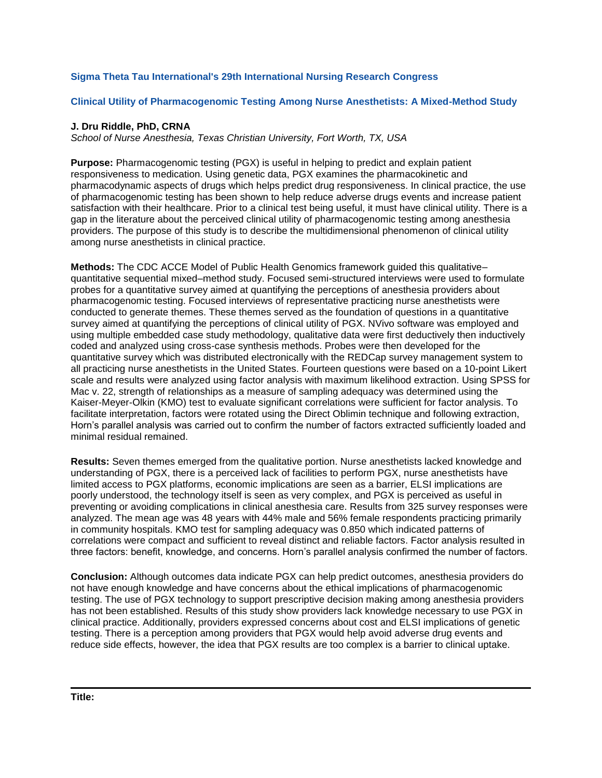# **Sigma Theta Tau International's 29th International Nursing Research Congress**

## **Clinical Utility of Pharmacogenomic Testing Among Nurse Anesthetists: A Mixed-Method Study**

### **J. Dru Riddle, PhD, CRNA**

*School of Nurse Anesthesia, Texas Christian University, Fort Worth, TX, USA*

**Purpose:** Pharmacogenomic testing (PGX) is useful in helping to predict and explain patient responsiveness to medication. Using genetic data, PGX examines the pharmacokinetic and pharmacodynamic aspects of drugs which helps predict drug responsiveness. In clinical practice, the use of pharmacogenomic testing has been shown to help reduce adverse drugs events and increase patient satisfaction with their healthcare. Prior to a clinical test being useful, it must have clinical utility. There is a gap in the literature about the perceived clinical utility of pharmacogenomic testing among anesthesia providers. The purpose of this study is to describe the multidimensional phenomenon of clinical utility among nurse anesthetists in clinical practice.

**Methods:** The CDC ACCE Model of Public Health Genomics framework guided this qualitative– quantitative sequential mixed–method study. Focused semi-structured interviews were used to formulate probes for a quantitative survey aimed at quantifying the perceptions of anesthesia providers about pharmacogenomic testing. Focused interviews of representative practicing nurse anesthetists were conducted to generate themes. These themes served as the foundation of questions in a quantitative survey aimed at quantifying the perceptions of clinical utility of PGX. NVivo software was employed and using multiple embedded case study methodology, qualitative data were first deductively then inductively coded and analyzed using cross-case synthesis methods. Probes were then developed for the quantitative survey which was distributed electronically with the REDCap survey management system to all practicing nurse anesthetists in the United States. Fourteen questions were based on a 10-point Likert scale and results were analyzed using factor analysis with maximum likelihood extraction. Using SPSS for Mac v. 22, strength of relationships as a measure of sampling adequacy was determined using the Kaiser-Meyer-Olkin (KMO) test to evaluate significant correlations were sufficient for factor analysis. To facilitate interpretation, factors were rotated using the Direct Oblimin technique and following extraction, Horn's parallel analysis was carried out to confirm the number of factors extracted sufficiently loaded and minimal residual remained.

**Results:** Seven themes emerged from the qualitative portion. Nurse anesthetists lacked knowledge and understanding of PGX, there is a perceived lack of facilities to perform PGX, nurse anesthetists have limited access to PGX platforms, economic implications are seen as a barrier, ELSI implications are poorly understood, the technology itself is seen as very complex, and PGX is perceived as useful in preventing or avoiding complications in clinical anesthesia care. Results from 325 survey responses were analyzed. The mean age was 48 years with 44% male and 56% female respondents practicing primarily in community hospitals. KMO test for sampling adequacy was 0.850 which indicated patterns of correlations were compact and sufficient to reveal distinct and reliable factors. Factor analysis resulted in three factors: benefit, knowledge, and concerns. Horn's parallel analysis confirmed the number of factors.

**Conclusion:** Although outcomes data indicate PGX can help predict outcomes, anesthesia providers do not have enough knowledge and have concerns about the ethical implications of pharmacogenomic testing. The use of PGX technology to support prescriptive decision making among anesthesia providers has not been established. Results of this study show providers lack knowledge necessary to use PGX in clinical practice. Additionally, providers expressed concerns about cost and ELSI implications of genetic testing. There is a perception among providers that PGX would help avoid adverse drug events and reduce side effects, however, the idea that PGX results are too complex is a barrier to clinical uptake.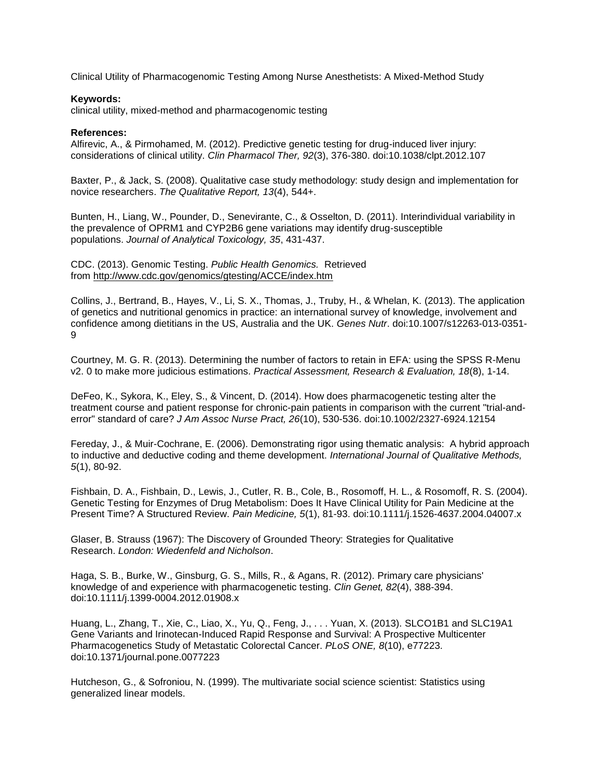Clinical Utility of Pharmacogenomic Testing Among Nurse Anesthetists: A Mixed-Method Study

#### **Keywords:**

clinical utility, mixed-method and pharmacogenomic testing

#### **References:**

Alfirevic, A., & Pirmohamed, M. (2012). Predictive genetic testing for drug-induced liver injury: considerations of clinical utility. *Clin Pharmacol Ther, 92*(3), 376-380. doi:10.1038/clpt.2012.107

Baxter, P., & Jack, S. (2008). Qualitative case study methodology: study design and implementation for novice researchers. *The Qualitative Report, 13*(4), 544+.

Bunten, H., Liang, W., Pounder, D., Senevirante, C., & Osselton, D. (2011). Interindividual variability in the prevalence of OPRM1 and CYP2B6 gene variations may identify drug-susceptible populations. *Journal of Analytical Toxicology, 35*, 431-437.

CDC. (2013). Genomic Testing. *Public Health Genomics.* Retrieved from <http://www.cdc.gov/genomics/gtesting/ACCE/index.htm>

Collins, J., Bertrand, B., Hayes, V., Li, S. X., Thomas, J., Truby, H., & Whelan, K. (2013). The application of genetics and nutritional genomics in practice: an international survey of knowledge, involvement and confidence among dietitians in the US, Australia and the UK. *Genes Nutr*. doi:10.1007/s12263-013-0351- 9

Courtney, M. G. R. (2013). Determining the number of factors to retain in EFA: using the SPSS R-Menu v2. 0 to make more judicious estimations. *Practical Assessment, Research & Evaluation, 18*(8), 1-14.

DeFeo, K., Sykora, K., Eley, S., & Vincent, D. (2014). How does pharmacogenetic testing alter the treatment course and patient response for chronic-pain patients in comparison with the current "trial-anderror" standard of care? *J Am Assoc Nurse Pract, 26*(10), 530-536. doi:10.1002/2327-6924.12154

Fereday, J., & Muir-Cochrane, E. (2006). Demonstrating rigor using thematic analysis: A hybrid approach to inductive and deductive coding and theme development. *International Journal of Qualitative Methods, 5*(1), 80-92.

Fishbain, D. A., Fishbain, D., Lewis, J., Cutler, R. B., Cole, B., Rosomoff, H. L., & Rosomoff, R. S. (2004). Genetic Testing for Enzymes of Drug Metabolism: Does It Have Clinical Utility for Pain Medicine at the Present Time? A Structured Review. *Pain Medicine, 5*(1), 81-93. doi:10.1111/j.1526-4637.2004.04007.x

Glaser, B. Strauss (1967): The Discovery of Grounded Theory: Strategies for Qualitative Research. *London: Wiedenfeld and Nicholson*.

Haga, S. B., Burke, W., Ginsburg, G. S., Mills, R., & Agans, R. (2012). Primary care physicians' knowledge of and experience with pharmacogenetic testing. *Clin Genet, 82*(4), 388-394. doi:10.1111/j.1399-0004.2012.01908.x

Huang, L., Zhang, T., Xie, C., Liao, X., Yu, Q., Feng, J., . . . Yuan, X. (2013). SLCO1B1 and SLC19A1 Gene Variants and Irinotecan-Induced Rapid Response and Survival: A Prospective Multicenter Pharmacogenetics Study of Metastatic Colorectal Cancer. *PLoS ONE, 8*(10), e77223. doi:10.1371/journal.pone.0077223

Hutcheson, G., & Sofroniou, N. (1999). The multivariate social science scientist: Statistics using generalized linear models.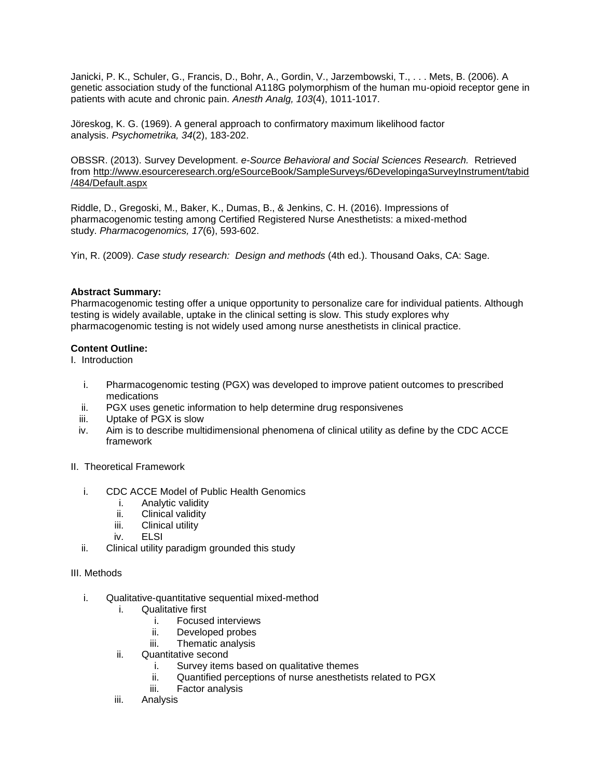Janicki, P. K., Schuler, G., Francis, D., Bohr, A., Gordin, V., Jarzembowski, T., . . . Mets, B. (2006). A genetic association study of the functional A118G polymorphism of the human mu-opioid receptor gene in patients with acute and chronic pain. *Anesth Analg, 103*(4), 1011-1017.

Jöreskog, K. G. (1969). A general approach to confirmatory maximum likelihood factor analysis. *Psychometrika, 34*(2), 183-202.

OBSSR. (2013). Survey Development. *e-Source Behavioral and Social Sciences Research.* Retrieved from [http://www.esourceresearch.org/eSourceBook/SampleSurveys/6DevelopingaSurveyInstrument/tabid](http://www.esourceresearch.org/eSourceBook/SampleSurveys/6DevelopingaSurveyInstrument/tabid/484/Default.aspx) [/484/Default.aspx](http://www.esourceresearch.org/eSourceBook/SampleSurveys/6DevelopingaSurveyInstrument/tabid/484/Default.aspx)

Riddle, D., Gregoski, M., Baker, K., Dumas, B., & Jenkins, C. H. (2016). Impressions of pharmacogenomic testing among Certified Registered Nurse Anesthetists: a mixed-method study. *Pharmacogenomics, 17*(6), 593-602.

Yin, R. (2009). *Case study research: Design and methods* (4th ed.). Thousand Oaks, CA: Sage.

### **Abstract Summary:**

Pharmacogenomic testing offer a unique opportunity to personalize care for individual patients. Although testing is widely available, uptake in the clinical setting is slow. This study explores why pharmacogenomic testing is not widely used among nurse anesthetists in clinical practice.

### **Content Outline:**

I. Introduction

- i. Pharmacogenomic testing (PGX) was developed to improve patient outcomes to prescribed medications
- ii. PGX uses genetic information to help determine drug responsivenes
- iii. Uptake of PGX is slow
- iv. Aim is to describe multidimensional phenomena of clinical utility as define by the CDC ACCE framework
- II. Theoretical Framework
	- i. CDC ACCE Model of Public Health Genomics
		- i. Analytic validity
		- ii. Clinical validity
		- iii. Clinical utility
		- iv. ELSI
	- ii. Clinical utility paradigm grounded this study

### III. Methods

- i. Qualitative-quantitative sequential mixed-method
	- i. Qualitative first
		- i. Focused interviews
		- ii. Developed probes
		- iii. Thematic analysis
	- ii. Quantitative second
		- i. Survey items based on qualitative themes
		- ii. Quantified perceptions of nurse anesthetists related to PGX
		- iii. Factor analysis
	- iii. Analysis